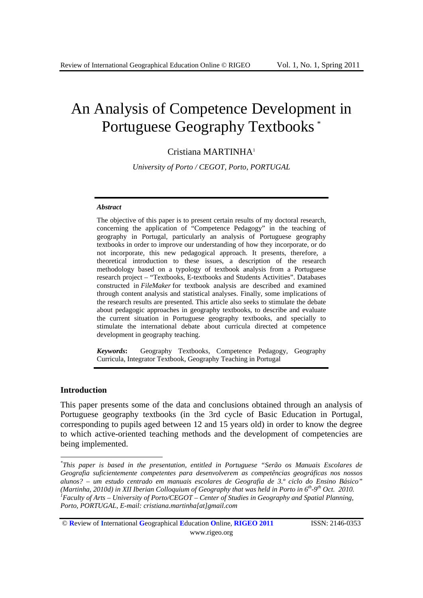# An Analysis of Competence Development in Portuguese Geography Textbooks \*

# Cristiana MARTINHA1

*University of Porto / CEGOT, Porto, PORTUGAL* 

#### *Abstract*

The objective of this paper is to present certain results of my doctoral research, concerning the application of "Competence Pedagogy" in the teaching of geography in Portugal, particularly an analysis of Portuguese geography textbooks in order to improve our understanding of how they incorporate, or do not incorporate, this new pedagogical approach. It presents, therefore, a theoretical introduction to these issues, a description of the research methodology based on a typology of textbook analysis from a Portuguese research project – "Textbooks, E-textbooks and Students Activities". Databases constructed in *FileMaker* for textbook analysis are described and examined through content analysis and statistical analyses. Finally, some implications of the research results are presented. This article also seeks to stimulate the debate about pedagogic approaches in geography textbooks, to describe and evaluate the current situation in Portuguese geography textbooks, and specially to stimulate the international debate about curricula directed at competence development in geography teaching.

*Keywords***:** Geography Textbooks, Competence Pedagogy, Geography Curricula, Integrator Textbook, Geography Teaching in Portugal

### **Introduction**

1

This paper presents some of the data and conclusions obtained through an analysis of Portuguese geography textbooks (in the 3rd cycle of Basic Education in Portugal, corresponding to pupils aged between 12 and 15 years old) in order to know the degree to which active-oriented teaching methods and the development of competencies are being implemented.

*<sup>\*</sup> This paper is based in the presentation, entitled in Portuguese "Serão os Manuais Escolares de Geografia suficientemente competentes para desenvolverem as competências geográficas nos nossos alunos? – um estudo centrado em manuais escolares de Geografia de 3.º ciclo do Ensino Básico" (Martinha, 2010d) in XII Iberian Colloquium of Geography that was held in Porto in*  $6^{th}$ *-9<sup>th</sup> Oct. 2010. Faculty of Arts – University of Porto/CEGOT – Center of Studies in Geography and Spatial Planning, Porto, PORTUGAL, E-mail: cristiana.martinha[at]gmail.com* 

<sup>©</sup> **R**eview of **I**nternational **G**eographical **E**ducation **O**nline, **RIGEO 2011** ISSN: 2146-0353 www.rigeo.org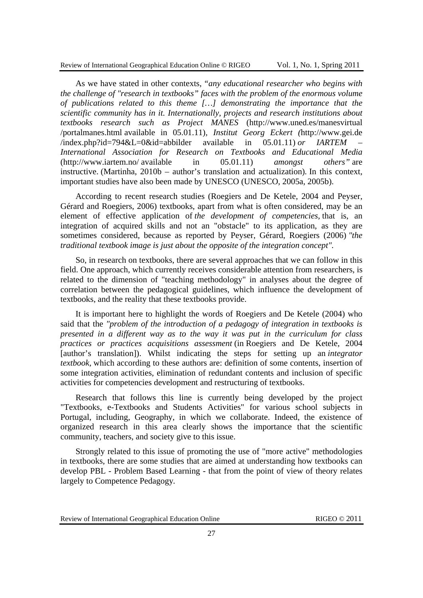Review of International Geographical Education Online © RIGEO Vol. 1, No. 1, Spring 2011

As we have stated in other contexts, *"any educational researcher who begins with the challenge of "research in textbooks" faces with the problem of the enormous volume of publications related to this theme […] demonstrating the importance that the scientific community has in it. Internationally, projects and research institutions about textbooks research such as Project MANES* (http://www.uned.es/manesvirtual /portalmanes.html available in 05.01.11)*, Institut Georg Eckert (*http://www.gei.de  $/$ index.php?id=794&L=0&id=abbilder available in 05.01.11) *or IARTEM International Association for Research on Textbooks and Educational Media*  (http://www.iartem.no/ available in 05.01.11) *amongst others"* are instructive. (Martinha, 2010b – author's translation and actualization)*.* In this context, important studies have also been made by UNESCO (UNESCO, 2005a, 2005b).

According to recent research studies (Roegiers and De Ketele, 2004 and Peyser, Gérard and Roegiers, 2006) textbooks, apart from what is often considered, may be an element of effective application of *the development of competencies,* that is, an integration of acquired skills and not an "obstacle" to its application, as they are sometimes considered, because as reported by Peyser, Gérard, Roegiers (2006) *"the traditional textbook image is just about the opposite of the integration concept".* 

So, in research on textbooks, there are several approaches that we can follow in this field. One approach, which currently receives considerable attention from researchers, is related to the dimension of "teaching methodology" in analyses about the degree of correlation between the pedagogical guidelines, which influence the development of textbooks, and the reality that these textbooks provide.

It is important here to highlight the words of Roegiers and De Ketele (2004) who said that the *"problem of the introduction of a pedagogy of integration in textbooks is presented in a different way as to the way it was put in the curriculum for class practices or practices acquisitions assessment* (in Roegiers and De Ketele, 2004 [author's translation]). Whilst indicating the steps for setting up an *integrator textbook,* which according to these authors are: definition of some contents, insertion of some integration activities, elimination of redundant contents and inclusion of specific activities for competencies development and restructuring of textbooks.

Research that follows this line is currently being developed by the project "Textbooks, e-Textbooks and Students Activities" for various school subjects in Portugal, including, Geography, in which we collaborate. Indeed, the existence of organized research in this area clearly shows the importance that the scientific community, teachers, and society give to this issue.

Strongly related to this issue of promoting the use of "more active" methodologies in textbooks, there are some studies that are aimed at understanding how textbooks can develop PBL - Problem Based Learning - that from the point of view of theory relates largely to Competence Pedagogy*.*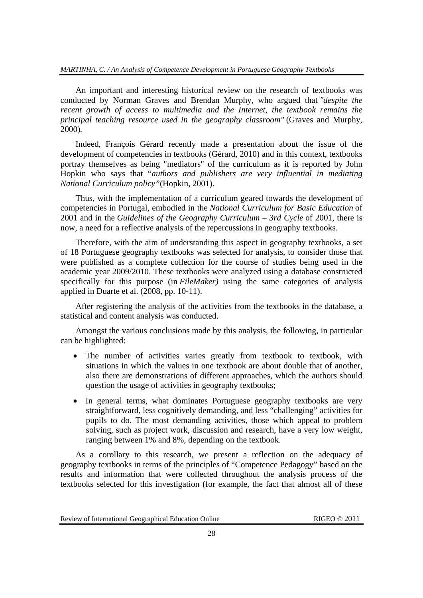## *MARTINHA, C. / An Analysis of Competence Development in Portuguese Geography Textbooks*

An important and interesting historical review on the research of textbooks was conducted by Norman Graves and Brendan Murphy, who argued that *"despite the recent growth of access to multimedia and the Internet, the textbook remains the principal teaching resource used in the geography classroom"* (Graves and Murphy, 2000)*.* 

Indeed, François Gérard recently made a presentation about the issue of the development of competencies in textbooks (Gérard, 2010) and in this context, textbooks portray themselves as being "mediators" of the curriculum as it is reported by John Hopkin who says that "*authors and publishers are very influential in mediating National Curriculum policy"*(Hopkin, 2001).

Thus, with the implementation of a curriculum geared towards the development of competencies in Portugal, embodied in the *National Curriculum for Basic Education* of 2001 and in the *Guidelines of the Geography Curriculum – 3rd Cycle* of 2001, there is now, a need for a reflective analysis of the repercussions in geography textbooks.

Therefore, with the aim of understanding this aspect in geography textbooks, a set of 18 Portuguese geography textbooks was selected for analysis, to consider those that were published as a complete collection for the course of studies being used in the academic year 2009/2010. These textbooks were analyzed using a database constructed specifically for this purpose (in *FileMaker)* using the same categories of analysis applied in Duarte et al. (2008, pp. 10-11).

After registering the analysis of the activities from the textbooks in the database, a statistical and content analysis was conducted.

Amongst the various conclusions made by this analysis, the following, in particular can be highlighted:

- The number of activities varies greatly from textbook to textbook, with situations in which the values in one textbook are about double that of another, also there are demonstrations of different approaches, which the authors should question the usage of activities in geography textbooks;
- In general terms, what dominates Portuguese geography textbooks are very straightforward, less cognitively demanding, and less "challenging" activities for pupils to do. The most demanding activities, those which appeal to problem solving, such as project work, discussion and research, have a very low weight, ranging between 1% and 8%, depending on the textbook.

As a corollary to this research, we present a reflection on the adequacy of geography textbooks in terms of the principles of "Competence Pedagogy" based on the results and information that were collected throughout the analysis process of the textbooks selected for this investigation (for example, the fact that almost all of these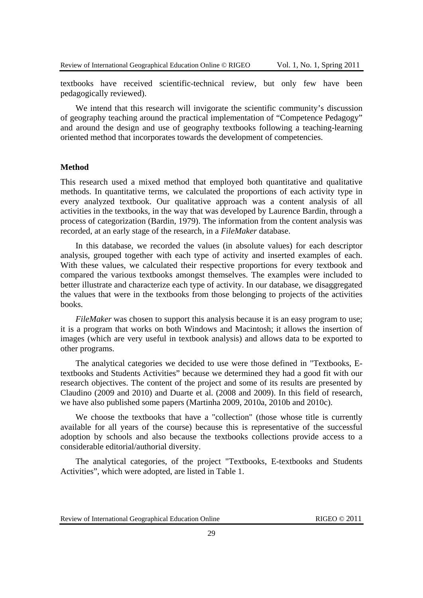textbooks have received scientific-technical review, but only few have been pedagogically reviewed).

We intend that this research will invigorate the scientific community's discussion of geography teaching around the practical implementation of "Competence Pedagogy" and around the design and use of geography textbooks following a teaching-learning oriented method that incorporates towards the development of competencies.

#### **Method**

This research used a mixed method that employed both quantitative and qualitative methods. In quantitative terms, we calculated the proportions of each activity type in every analyzed textbook. Our qualitative approach was a content analysis of all activities in the textbooks, in the way that was developed by Laurence Bardin, through a process of categorization (Bardin, 1979). The information from the content analysis was recorded, at an early stage of the research, in a *FileMaker* database.

In this database, we recorded the values (in absolute values) for each descriptor analysis, grouped together with each type of activity and inserted examples of each. With these values, we calculated their respective proportions for every textbook and compared the various textbooks amongst themselves. The examples were included to better illustrate and characterize each type of activity. In our database, we disaggregated the values that were in the textbooks from those belonging to projects of the activities books.

*FileMaker* was chosen to support this analysis because it is an easy program to use; it is a program that works on both Windows and Macintosh; it allows the insertion of images (which are very useful in textbook analysis) and allows data to be exported to other programs.

The analytical categories we decided to use were those defined in "Textbooks, Etextbooks and Students Activities" because we determined they had a good fit with our research objectives. The content of the project and some of its results are presented by Claudino (2009 and 2010) and Duarte et al. (2008 and 2009). In this field of research, we have also published some papers (Martinha 2009, 2010a, 2010b and 2010c).

We choose the textbooks that have a "collection" (those whose title is currently available for all years of the course) because this is representative of the successful adoption by schools and also because the textbooks collections provide access to a considerable editorial/authorial diversity.

The analytical categories, of the project "Textbooks, E-textbooks and Students Activities", which were adopted, are listed in Table 1.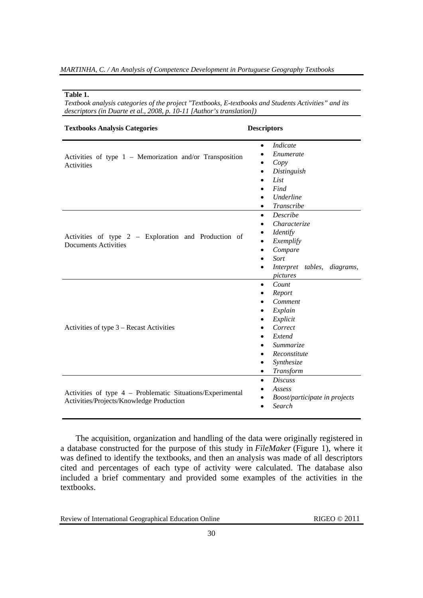#### **Table 1.**

*Textbook analysis categories of the project "Textbooks, E-textbooks and Students Activities" and its descriptors (in Duarte et al., 2008, p. 10-11 [Author's translation])* 

| <b>Textbooks Analysis Categories</b>                                                                   | <b>Descriptors</b>                                                                                                                                                                                                                                 |  |  |  |
|--------------------------------------------------------------------------------------------------------|----------------------------------------------------------------------------------------------------------------------------------------------------------------------------------------------------------------------------------------------------|--|--|--|
| Activities of type $1$ – Memorization and/or Transposition<br>Activities                               | Indicate<br>$\bullet$<br>Enumerate<br>$\bullet$<br>Copy<br>٠<br>Distinguish<br>$\bullet$<br>List<br>$\bullet$<br>Find<br>Underline<br>٠<br>Transcribe<br>$\bullet$                                                                                 |  |  |  |
| Activities of type 2 – Exploration and Production of<br><b>Documents Activities</b>                    | Describe<br>$\bullet$<br>Characterize<br>$\bullet$<br><b>Identify</b><br>٠<br>Exemplify<br>$\bullet$<br>Compare<br>$\bullet$<br>Sort<br>$\bullet$<br>Interpret tables,<br>diagrams,<br>pictures                                                    |  |  |  |
| Activities of type 3 – Recast Activities                                                               | Count<br>$\bullet$<br>Report<br>٠<br>Comment<br>$\bullet$<br>Explain<br>$\bullet$<br>Explicit<br>$\bullet$<br>Correct<br>$\bullet$<br>Extend<br><i>Summarize</i><br>Reconstitute<br>$\bullet$<br>Synthesize<br>$\bullet$<br>Transform<br>$\bullet$ |  |  |  |
| Activities of type 4 - Problematic Situations/Experimental<br>Activities/Projects/Knowledge Production | <b>Discuss</b><br>$\bullet$<br>Assess<br>$\bullet$<br>Boost/participate in projects<br>٠<br>Search<br>$\bullet$                                                                                                                                    |  |  |  |

The acquisition, organization and handling of the data were originally registered in a database constructed for the purpose of this study in *FileMaker* (Figure 1), where it was defined to identify the textbooks, and then an analysis was made of all descriptors cited and percentages of each type of activity were calculated. The database also included a brief commentary and provided some examples of the activities in the textbooks.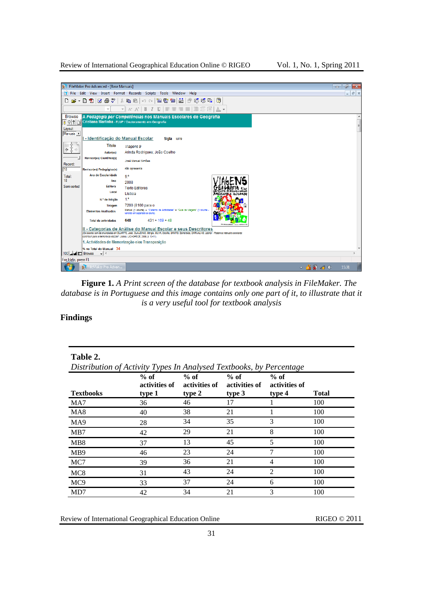Review of International Geographical Education Online © RIGEO Vol. 1, No. 1, Spring 2011

|                      | FileMaker Pro Advanced - [Base Manuais]                                    |                                                                                                                                                                                                                    | F<br>$\overline{\mathbf{x}}$<br>$\Box$ |
|----------------------|----------------------------------------------------------------------------|--------------------------------------------------------------------------------------------------------------------------------------------------------------------------------------------------------------------|----------------------------------------|
| N                    |                                                                            | File Edit View Insert Format Records Scripts Tools Window Help                                                                                                                                                     | $ E$ $\times$                          |
|                      |                                                                            |                                                                                                                                                                                                                    |                                        |
|                      |                                                                            |                                                                                                                                                                                                                    |                                        |
| <b>Browse</b>        |                                                                            | A Pedagogia por Competências nos Manuais Escolares de Geografia<br>O O Cristiana Martinha - FLUP / Doutoramento em Geografia                                                                                       | $\equiv$                               |
| Layout:<br>Manuais > |                                                                            |                                                                                                                                                                                                                    |                                        |
|                      | I - Identificação do Manual Escolar                                        | Sigla MF9                                                                                                                                                                                                          |                                        |
|                      | <b>Titulo</b>                                                              | Viagens 9                                                                                                                                                                                                          |                                        |
|                      | Autor(es)                                                                  | Arinda Rodrigues; João Coelho                                                                                                                                                                                      |                                        |
|                      | <b>Revisor(es) Científico(s)</b>                                           | José Manuel Simões                                                                                                                                                                                                 |                                        |
| Record:              |                                                                            | não apresenta                                                                                                                                                                                                      |                                        |
| <b>18</b>            | Revisor(es) Pedagógico(s)                                                  |                                                                                                                                                                                                                    |                                        |
| Total:<br>18         | Ano de Escolaridade                                                        | g °                                                                                                                                                                                                                |                                        |
|                      | Ano                                                                        | 2008                                                                                                                                                                                                               |                                        |
| Semi-sorted          | <b>Editora</b>                                                             | <b>Texto Editores</b>                                                                                                                                                                                              |                                        |
|                      | Local                                                                      | Lisboa                                                                                                                                                                                                             |                                        |
|                      | N.º de Edição                                                              | 1 <sup>3</sup>                                                                                                                                                                                                     |                                        |
|                      | <b>Tiragem</b>                                                             | 7200 (8100 para o                                                                                                                                                                                                  |                                        |
|                      | <b>Elementos Analisados</b>                                                | Manual (1 volume) + "Caderno de Actividades" e "Gula de Viagens" (1 volume -<br>vendido em separado ao aluno)                                                                                                      |                                        |
|                      | <b>Total de actividades</b>                                                | $431 + 169 + 48$<br>648                                                                                                                                                                                            |                                        |
|                      | contribuir para a melhoria da escola?. Lisboa, UID-OPECE, 2008, p. 10-11). | II - Categorias de Análise do Manual Escolar e seus Descritores<br>(De acordo com as enunciadas em DUARTE, José, CLAUDINO, Sérgio, SILVA, Cecília, SANTO, Esmeraida, CARVALHO, Leonor - Podem os manuais escolares |                                        |
|                      |                                                                            | 1. Actividades de Memorização e/ou Transposição                                                                                                                                                                    |                                        |
|                      | % no Total do Manual 34                                                    |                                                                                                                                                                                                                    |                                        |
| 100 Jul 1 Browse     | $ \bullet$ $\rightarrow$                                                   |                                                                                                                                                                                                                    |                                        |
| For Help, press F1   |                                                                            |                                                                                                                                                                                                                    |                                        |
| 77                   | FileMaker Pro Advan                                                        |                                                                                                                                                                                                                    | △ ▲ 雷 國 中<br>15:31                     |

**Figure 1.** *A Print screen of the database for textbook analysis in FileMaker. The database is in Portuguese and this image contains only one part of it, to illustrate that it is a very useful tool for textbook analysis*

## **Findings**

| Table 2.<br>Distribution of Activity Types In Analysed Textbooks, by Percentage |                                   |                                   |                                   |                                   |              |  |
|---------------------------------------------------------------------------------|-----------------------------------|-----------------------------------|-----------------------------------|-----------------------------------|--------------|--|
| <b>Textbooks</b>                                                                | $%$ of<br>activities of<br>type 1 | $%$ of<br>activities of<br>type 2 | $%$ of<br>activities of<br>type 3 | $%$ of<br>activities of<br>type 4 | <b>Total</b> |  |
| MA7                                                                             | 36                                | 46                                | 17                                |                                   | 100          |  |
| MA <sub>8</sub>                                                                 | 40                                | 38                                | 21                                |                                   | 100          |  |
| MA <sub>9</sub>                                                                 | 28                                | 34                                | 35                                | 3                                 | 100          |  |
| MB7                                                                             | 42                                | 29                                | 21                                | 8                                 | 100          |  |
| MB <sub>8</sub>                                                                 | 37                                | 13                                | 45                                | 5                                 | 100          |  |
| M <sub>B</sub> 9                                                                | 46                                | 23                                | 24                                | 7                                 | 100          |  |
| MC7                                                                             | 39                                | 36                                | 21                                | 4                                 | 100          |  |
| MC <sub>8</sub>                                                                 | 31                                | 43                                | 24                                | $\mathcal{D}$                     | 100          |  |
| MC <sub>9</sub>                                                                 | 33                                | 37                                | 24                                | 6                                 | 100          |  |
| MD7                                                                             | 42                                | 34                                | 21                                | 3                                 | 100          |  |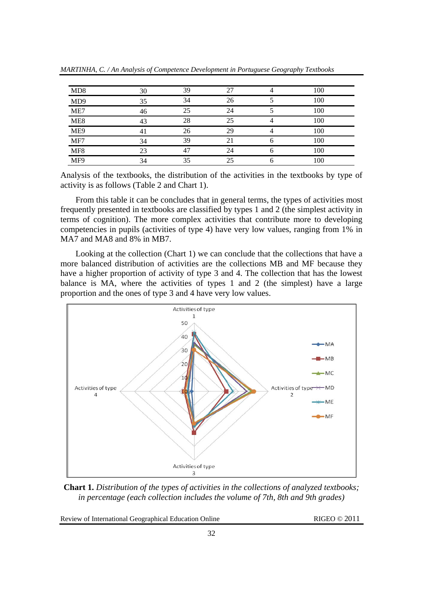| MD <sub>8</sub> | 30 | 39 | 27 |   | 100 |
|-----------------|----|----|----|---|-----|
| MD <sub>9</sub> | 35 | 34 | 26 |   | 100 |
| ME7             | 46 | つら | 24 |   | 100 |
| ME <sub>8</sub> |    | 28 | 25 |   | 100 |
| ME9             |    | 26 | 29 |   | 100 |
| MF7             | 34 | 39 |    | h | 100 |
| MF <sub>8</sub> |    |    | 24 |   | 100 |
| MF9             | 34 | 35 |    |   | 100 |

*MARTINHA, C. / An Analysis of Competence Development in Portuguese Geography Textbooks* 

Analysis of the textbooks, the distribution of the activities in the textbooks by type of activity is as follows (Table 2 and Chart 1).

From this table it can be concludes that in general terms, the types of activities most frequently presented in textbooks are classified by types 1 and 2 (the simplest activity in terms of cognition). The more complex activities that contribute more to developing competencies in pupils (activities of type 4) have very low values, ranging from 1% in MA7 and MA8 and 8% in MB7.

Looking at the collection (Chart 1) we can conclude that the collections that have a more balanced distribution of activities are the collections MB and MF because they have a higher proportion of activity of type 3 and 4. The collection that has the lowest balance is MA, where the activities of types 1 and 2 (the simplest) have a large proportion and the ones of type 3 and 4 have very low values.



**Chart 1.** *Distribution of the types of activities in the collections of analyzed textbooks; in percentage (each collection includes the volume of 7th, 8th and 9th grades)*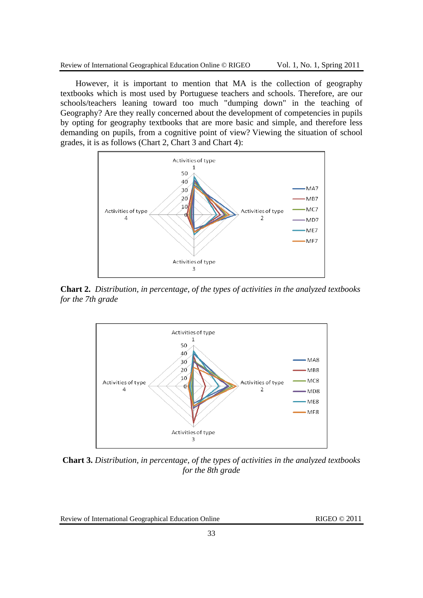However, it is important to mention that MA is the collection of geography textbooks which is most used by Portuguese teachers and schools. Therefore, are our schools/teachers leaning toward too much "dumping down" in the teaching of Geography? Are they really concerned about the development of competencies in pupils by opting for geography textbooks that are more basic and simple, and therefore less demanding on pupils, from a cognitive point of view? Viewing the situation of school grades, it is as follows (Chart 2, Chart 3 and Chart 4):



**Chart 2.** *Distribution, in percentage, of the types of activities in the analyzed textbooks for the 7th grade* 



**Chart 3.** *Distribution, in percentage, of the types of activities in the analyzed textbooks for the 8th grade*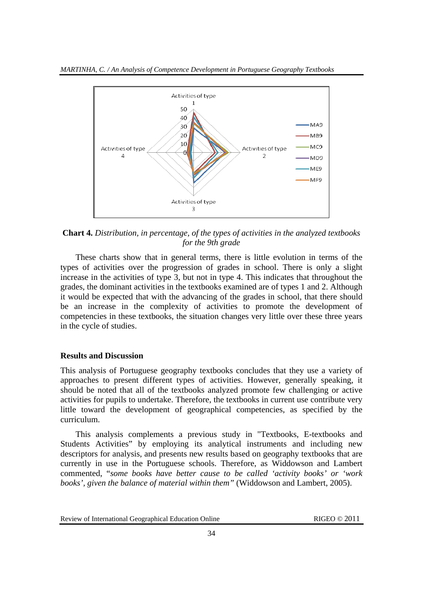

**Chart 4.** *Distribution, in percentage, of the types of activities in the analyzed textbooks for the 9th grade* 

These charts show that in general terms, there is little evolution in terms of the types of activities over the progression of grades in school. There is only a slight increase in the activities of type 3, but not in type 4. This indicates that throughout the grades, the dominant activities in the textbooks examined are of types 1 and 2. Although it would be expected that with the advancing of the grades in school, that there should be an increase in the complexity of activities to promote the development of competencies in these textbooks, the situation changes very little over these three years in the cycle of studies.

## **Results and Discussion**

This analysis of Portuguese geography textbooks concludes that they use a variety of approaches to present different types of activities. However, generally speaking, it should be noted that all of the textbooks analyzed promote few challenging or active activities for pupils to undertake. Therefore, the textbooks in current use contribute very little toward the development of geographical competencies, as specified by the curriculum.

This analysis complements a previous study in "Textbooks, E-textbooks and Students Activities" by employing its analytical instruments and including new descriptors for analysis, and presents new results based on geography textbooks that are currently in use in the Portuguese schools. Therefore, as Widdowson and Lambert commented, "*some books have better cause to be called 'activity books' or 'work books', given the balance of material within them"* (Widdowson and Lambert, 2005).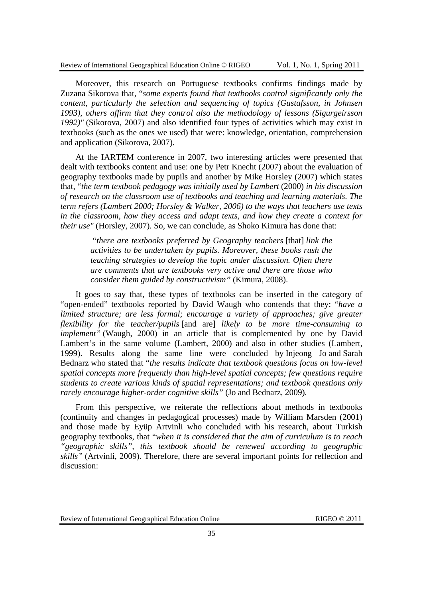Moreover, this research on Portuguese textbooks confirms findings made by Zuzana Sikorova that, "*some experts found that textbooks control significantly only the content, particularly the selection and sequencing of topics (Gustafsson, in Johnsen 1993), others affirm that they control also the methodology of lessons (Sigurgeirsson 1992)"* (Sikorova, 2007) and also identified four types of activities which may exist in textbooks (such as the ones we used) that were: knowledge, orientation, comprehension and application (Sikorova, 2007).

At the IARTEM conference in 2007, two interesting articles were presented that dealt with textbooks content and use: one by Petr Knecht (2007) about the evaluation of geography textbooks made by pupils and another by Mike Horsley (2007) which states that, "*the term textbook pedagogy was initially used by Lambert* (2000) *in his discussion of research on the classroom use of textbooks and teaching and learning materials. The term refers (Lambert 2000; Horsley & Walker, 2006) to the ways that teachers use texts in the classroom, how they access and adapt texts, and how they create a context for their use"* (Horsley, 2007)*.* So, we can conclude, as Shoko Kimura has done that:

 "*there are textbooks preferred by Geography teachers* [that] *link the activities to be undertaken by pupils. Moreover, these books rush the teaching strategies to develop the topic under discussion. Often there are comments that are textbooks very active and there are those who consider them guided by constructivism"* (Kimura, 2008).

It goes to say that, these types of textbooks can be inserted in the category of "open-ended" textbooks reported by David Waugh who contends that they: "*have a limited structure; are less formal; encourage a variety of approaches; give greater flexibility for the teacher/pupils* [and are] *likely to be more time-consuming to implement*" (Waugh, 2000) in an article that is complemented by one by David Lambert's in the same volume (Lambert, 2000) and also in other studies (Lambert, 1999). Results along the same line were concluded by Injeong Jo and Sarah Bednarz who stated that "*the results indicate that textbook questions focus on low-level spatial concepts more frequently than high-level spatial concepts; few questions require students to create various kinds of spatial representations; and textbook questions only rarely encourage higher-order cognitive skills"* (Jo and Bednarz, 2009)*.* 

From this perspective, we reiterate the reflections about methods in textbooks (continuity and changes in pedagogical processes) made by William Marsden (2001) and those made by Eyüp Artvinli who concluded with his research, about Turkish geography textbooks, that "*when it is considered that the aim of curriculum is to reach "geographic skills", this textbook should be renewed according to geographic skills"* (Artvinli, 2009). Therefore, there are several important points for reflection and discussion: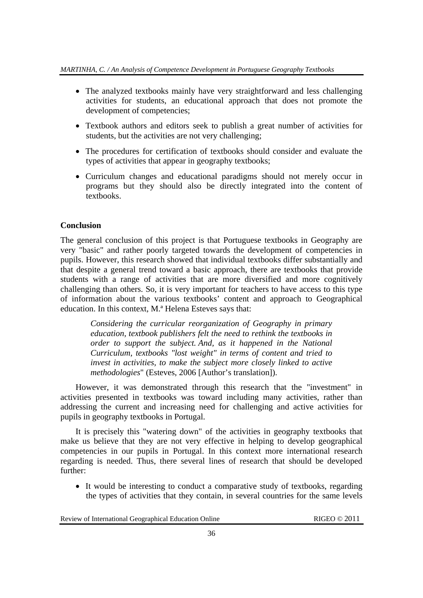- The analyzed textbooks mainly have very straightforward and less challenging activities for students, an educational approach that does not promote the development of competencies;
- Textbook authors and editors seek to publish a great number of activities for students, but the activities are not very challenging;
- The procedures for certification of textbooks should consider and evaluate the types of activities that appear in geography textbooks;
- Curriculum changes and educational paradigms should not merely occur in programs but they should also be directly integrated into the content of textbooks.

# **Conclusion**

The general conclusion of this project is that Portuguese textbooks in Geography are very "basic" and rather poorly targeted towards the development of competencies in pupils. However, this research showed that individual textbooks differ substantially and that despite a general trend toward a basic approach, there are textbooks that provide students with a range of activities that are more diversified and more cognitively challenging than others. So, it is very important for teachers to have access to this type of information about the various textbooks' content and approach to Geographical education. In this context, M.ª Helena Esteves says that:

*Considering the curricular reorganization of Geography in primary education, textbook publishers felt the need to rethink the textbooks in order to support the subject. And, as it happened in the National Curriculum, textbooks "lost weight" in terms of content and tried to invest in activities, to make the subject more closely linked to active methodologies*" (Esteves, 2006 [Author's translation]).

However, it was demonstrated through this research that the "investment" in activities presented in textbooks was toward including many activities, rather than addressing the current and increasing need for challenging and active activities for pupils in geography textbooks in Portugal.

It is precisely this "watering down" of the activities in geography textbooks that make us believe that they are not very effective in helping to develop geographical competencies in our pupils in Portugal. In this context more international research regarding is needed. Thus, there several lines of research that should be developed further:

 It would be interesting to conduct a comparative study of textbooks, regarding the types of activities that they contain, in several countries for the same levels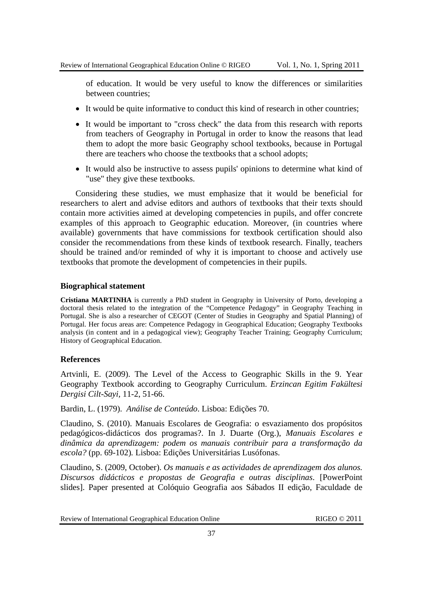of education. It would be very useful to know the differences or similarities between countries;

- It would be quite informative to conduct this kind of research in other countries;
- It would be important to "cross check" the data from this research with reports from teachers of Geography in Portugal in order to know the reasons that lead them to adopt the more basic Geography school textbooks, because in Portugal there are teachers who choose the textbooks that a school adopts;
- It would also be instructive to assess pupils' opinions to determine what kind of "use" they give these textbooks.

Considering these studies, we must emphasize that it would be beneficial for researchers to alert and advise editors and authors of textbooks that their texts should contain more activities aimed at developing competencies in pupils, and offer concrete examples of this approach to Geographic education. Moreover, (in countries where available) governments that have commissions for textbook certification should also consider the recommendations from these kinds of textbook research. Finally, teachers should be trained and/or reminded of why it is important to choose and actively use textbooks that promote the development of competencies in their pupils.

## **Biographical statement**

**Cristiana MARTINHA** is currently a PhD student in Geography in University of Porto, developing a doctoral thesis related to the integration of the "Competence Pedagogy" in Geography Teaching in Portugal. She is also a researcher of CEGOT (Center of Studies in Geography and Spatial Planning) of Portugal. Her focus areas are: Competence Pedagogy in Geographical Education; Geography Textbooks analysis (in content and in a pedagogical view); Geography Teacher Training; Geography Curriculum; History of Geographical Education.

## **References**

Artvinli, E. (2009). The Level of the Access to Geographic Skills in the 9. Year Geography Textbook according to Geography Curriculum. *Erzincan Egitim Fakültesi Dergisi Cilt-Sayi,* 11-2, 51-66.

Bardin, L. (1979). *Análise de Conteúdo*. Lisboa: Edições 70.

Claudino, S. (2010). Manuais Escolares de Geografia: o esvaziamento dos propósitos pedagógicos-didácticos dos programas?. In J. Duarte (Org.), *Manuais Escolares e dinâmica da aprendizagem: podem os manuais contribuir para a transformação da escola?* (pp. 69-102)*.* Lisboa: Edições Universitárias Lusófonas.

Claudino, S. (2009, October). *Os manuais e as actividades de aprendizagem dos alunos. Discursos didácticos e propostas de Geografia e outras disciplinas*. [PowerPoint slides]. Paper presented at Colóquio Geografia aos Sábados II edição, Faculdade de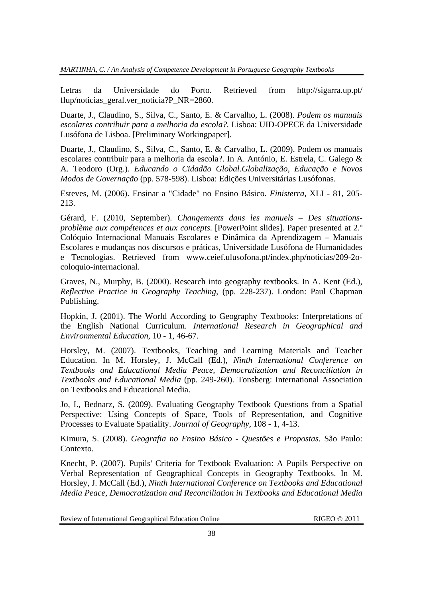Letras da Universidade do Porto. Retrieved from http://sigarra.up.pt/ flup/noticias\_geral.ver\_noticia?P\_NR=2860.

Duarte, J., Claudino, S., Silva, C., Santo, E. & Carvalho, L. (2008). *Podem os manuais escolares contribuir para a melhoria da escola?.* Lisboa: UID-OPECE da Universidade Lusófona de Lisboa. [Preliminary Workingpaper].

Duarte, J., Claudino, S., Silva, C., Santo, E. & Carvalho, L. (2009). Podem os manuais escolares contribuir para a melhoria da escola?. In A. António, E. Estrela, C. Galego & A. Teodoro (Org.). *Educando o Cidadão Global.Globalização, Educação e Novos Modos de Governação* (pp. 578-598). Lisboa: Edições Universitárias Lusófonas.

Esteves, M. (2006). Ensinar a "Cidade" no Ensino Básico. *Finisterra*, XLI - 81, 205- 213.

Gérard, F. (2010, September). *Changements dans les manuels – Des situationsproblème aux compétences et aux concepts*. [PowerPoint slides]. Paper presented at 2.º Colóquio Internacional Manuais Escolares e Dinâmica da Aprendizagem – Manuais Escolares e mudanças nos discursos e práticas, Universidade Lusófona de Humanidades e Tecnologias. Retrieved from www.ceief.ulusofona.pt/index.php/noticias/209-2ocoloquio-internacional.

Graves, N., Murphy, B. (2000). Research into geography textbooks. In A. Kent (Ed.), *Reflective Practice in Geography Teaching,* (pp. 228-237). London: Paul Chapman Publishing.

Hopkin, J. (2001). The World According to Geography Textbooks: Interpretations of the English National Curriculum. *International Research in Geographical and Environmental Education,* 10 - 1, 46-67.

Horsley, M. (2007). Textbooks, Teaching and Learning Materials and Teacher Education. In M. Horsley, J. McCall (Ed.), *Ninth International Conference on Textbooks and Educational Media Peace, Democratization and Reconciliation in Textbooks and Educational Media* (pp. 249-260). Tonsberg: International Association on Textbooks and Educational Media.

Jo, I., Bednarz, S. (2009). Evaluating Geography Textbook Questions from a Spatial Perspective: Using Concepts of Space, Tools of Representation, and Cognitive Processes to Evaluate Spatiality. *Journal of Geography,* 108 - 1, 4-13.

Kimura, S. (2008). *Geografia no Ensino Básico - Questões e Propostas.* São Paulo: Contexto.

Knecht, P. (2007). Pupils' Criteria for Textbook Evaluation: A Pupils Perspective on Verbal Representation of Geographical Concepts in Geography Textbooks. In M. Horsley, J. McCall (Ed.), *Ninth International Conference on Textbooks and Educational Media Peace, Democratization and Reconciliation in Textbooks and Educational Media*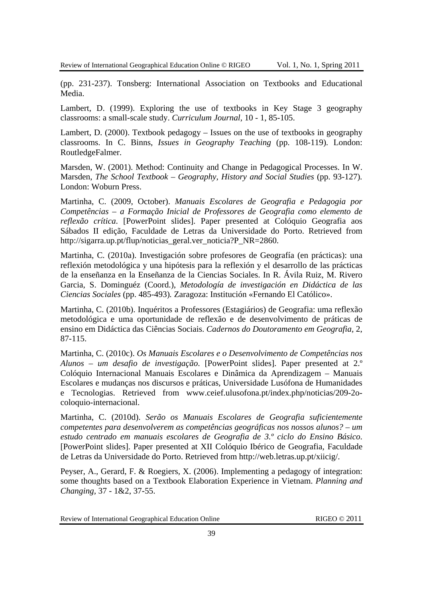(pp. 231-237). Tonsberg: International Association on Textbooks and Educational Media.

Lambert, D. (1999). Exploring the use of textbooks in Key Stage 3 geography classrooms: a small-scale study. *Curriculum Journal,* 10 - 1, 85-105.

Lambert, D. (2000). Textbook pedagogy – Issues on the use of textbooks in geography classrooms. In C. Binns, *Issues in Geography Teaching* (pp. 108-119)*.* London: RoutledgeFalmer.

Marsden, W. (2001). Method: Continuity and Change in Pedagogical Processes. In W. Marsden, *The School Textbook – Geography, History and Social Studies* (pp. 93-127)*.*  London: Woburn Press.

Martinha, C. (2009, October). *Manuais Escolares de Geografia e Pedagogia por Competências – a Formação Inicial de Professores de Geografia como elemento de reflexão crítica*. [PowerPoint slides]. Paper presented at Colóquio Geografia aos Sábados II edição, Faculdade de Letras da Universidade do Porto. Retrieved from http://sigarra.up.pt/flup/noticias\_geral.ver\_noticia?P\_NR=2860.

Martinha, C. (2010a). Investigación sobre profesores de Geografía (en prácticas): una reflexión metodológica y una hipótesis para la reflexión y el desarrollo de las prácticas de la enseñanza en la Enseñanza de la Ciencias Sociales. In R. Ávila Ruiz, M. Rivero Garcia, S. Dominguéz (Coord.), *Metodología de investigación en Didáctica de las Ciencias Sociales* (pp. 485-493)*.* Zaragoza: Institución «Fernando El Católico».

Martinha, C. (2010b). Inquéritos a Professores (Estagiários) de Geografia: uma reflexão metodológica e uma oportunidade de reflexão e de desenvolvimento de práticas de ensino em Didáctica das Ciências Sociais. *Cadernos do Doutoramento em Geografia,* 2, 87-115.

Martinha, C. (2010c). *Os Manuais Escolares e o Desenvolvimento de Competências nos Alunos – um desafio de investigação*. [PowerPoint slides]. Paper presented at 2.º Colóquio Internacional Manuais Escolares e Dinâmica da Aprendizagem – Manuais Escolares e mudanças nos discursos e práticas, Universidade Lusófona de Humanidades e Tecnologias. Retrieved from www.ceief.ulusofona.pt/index.php/noticias/209-2ocoloquio-internacional.

Martinha, C. (2010d). *Serão os Manuais Escolares de Geografia suficientemente competentes para desenvolverem as competências geográficas nos nossos alunos? – um estudo centrado em manuais escolares de Geografia de 3.º ciclo do Ensino Básico*. [PowerPoint slides]. Paper presented at XII Colóquio Ibérico de Geografia, Faculdade de Letras da Universidade do Porto. Retrieved from http://web.letras.up.pt/xiicig/.

Peyser, A., Gerard, F. & Roegiers, X. (2006). Implementing a pedagogy of integration: some thoughts based on a Textbook Elaboration Experience in Vietnam. *Planning and Changing,* 37 - 1&2, 37-55.